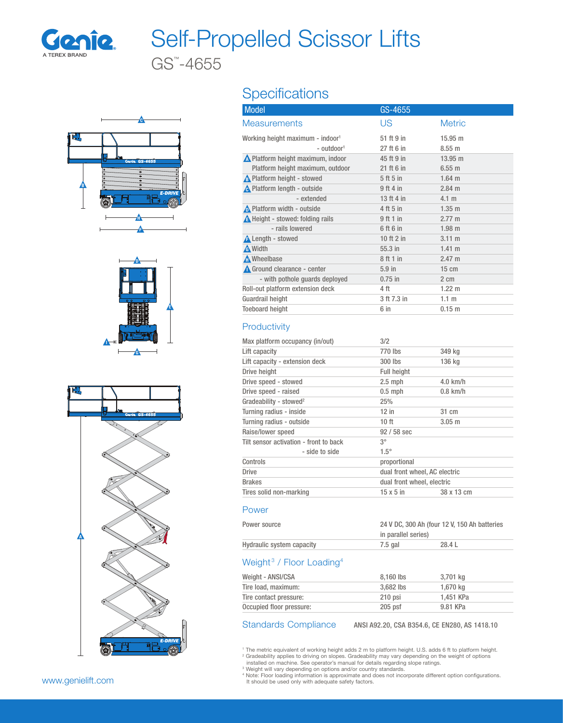

# Self-Propelled Scissor Lifts

GS™ -4655







## **Specifications**

| <b>Model</b>                                 | GS-4655     |                   |
|----------------------------------------------|-------------|-------------------|
| <b>Measurements</b>                          | US          | <b>Metric</b>     |
| Working height maximum - indoor <sup>1</sup> | 51 ft 9 in  | $15.95 \text{ m}$ |
| - outdoor <sup>1</sup>                       | 27 ft 6 in  | $8.55$ m          |
| Nelatform height maximum, indoor             | 45 ft 9 in  | $13.95 \text{ m}$ |
| Platform height maximum, outdoor             | 21 ft 6 in  | $6.55$ m          |
| A Platform height - stowed                   | 5 ft 5 in   | $1.64$ m          |
| A Platform length - outside                  | $9$ ft 4 in | $2.84 \text{ m}$  |
| - extended                                   | 13 ft 4 in  | 4.1 m             |
| <b>A</b> Platform width - outside            | 4 ft 5 in   | $1.35$ m          |
| <b>A</b> Height - stowed: folding rails      | 9ft1in      | $2.77 \text{ m}$  |
| - rails lowered                              | 6 ft 6 in   | 1.98 m            |
| <b>A</b> Length - stowed                     | 10 ft 2 in  | $3.11 \text{ m}$  |
| <b>A</b> Width                               | $55.3$ in   | $1.41 \; m$       |
| Mheelbase                                    | 8 ft 1 in   | $2.47 \text{ m}$  |
| Ground clearance - center                    | $5.9$ in    | $15 \text{ cm}$   |
| - with pothole guards deployed               | $0.75$ in   | 2 cm              |
| Roll-out platform extension deck             | 4 ft        | $1.22 \text{ m}$  |
| Guardrail height                             | 3 ft 7.3 in | 1.1 <sub>m</sub>  |
| <b>Toeboard height</b>                       | 6 in        | $0.15$ m          |
|                                              |             |                   |

### **Productivity**

| 3/2                           |            |  |
|-------------------------------|------------|--|
| 770 lbs                       | 349 kg     |  |
| 300 lbs                       | 136 kg     |  |
| <b>Full height</b>            |            |  |
| $2.5$ mph                     | $4.0$ km/h |  |
| $0.5$ mph                     | $0.8$ km/h |  |
| 25%                           |            |  |
| $12$ in                       | 31 cm      |  |
| 10 <sub>ft</sub>              | $3.05$ m   |  |
| $92/58$ sec                   |            |  |
| $3^{\circ}$                   |            |  |
| $1.5^\circ$                   |            |  |
| proportional                  |            |  |
| dual front wheel, AC electric |            |  |
| dual front wheel, electric    |            |  |
| $15 \times 5$ in              | 38 x 13 cm |  |
|                               |            |  |

#### Power

| Power source              |         | 24 V DC, 300 Ah (four 12 V, 150 Ah batteries |  |
|---------------------------|---------|----------------------------------------------|--|
|                           |         | in parallel series)                          |  |
| Hydraulic system capacity | 7.5 gal | 28.4 L                                       |  |

#### Weight<sup>3</sup> / Floor Loading<sup>4</sup>

| Weight - ANSI/CSA        | 8.160 lbs | 3.701 ka  |  |
|--------------------------|-----------|-----------|--|
| Tire load, maximum:      | 3.682 lbs | 1.670 kg  |  |
| Tire contact pressure:   | $210$ psi | 1,451 KPa |  |
| Occupied floor pressure: | $205$ psf | 9.81 KPa  |  |

Standards Compliance ANSI A92.20, CSA B354.6, CE EN280, AS 1418.10

<sup>1</sup> The metric equivalent of working height adds 2 m to platform height. U.S. adds 6 ft to platform height.<br><sup>2</sup> Gradeability applies to driving on slopes. Gradeability may vary depending on the weight of options<br>· installe

<sup>3</sup> Weight will vary depending on options and/or country standards.<br><sup>4</sup> Note: Floor loading information is approximate and does not incorporate different option configurations.<br>- It should be used only with adequate safety